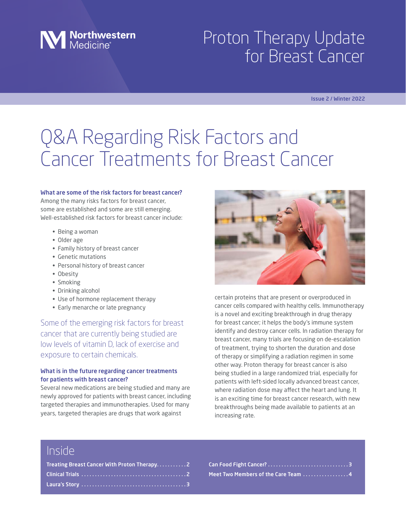

# Proton Therapy Update for Breast Cancer

#### Issue 2 / Winter 2022

# Q&A Regarding Risk Factors and Cancer Treatments for Breast Cancer

#### What are some of the risk factors for breast cancer?

Among the many risks factors for breast cancer, some are established and some are still emerging. Well-established risk factors for breast cancer include:

- Being a woman
- Older age
- Family history of breast cancer
- Genetic mutations
- Personal history of breast cancer
- Obesity
- Smoking
- Drinking alcohol
- Use of hormone replacement therapy
- Early menarche or late pregnancy

Some of the emerging risk factors for breast cancer that are currently being studied are low levels of vitamin D, lack of exercise and exposure to certain chemicals.

### What is in the future regarding cancer treatments for patients with breast cancer?

Several new medications are being studied and many are newly approved for patients with breast cancer, including targeted therapies and immunotherapies. Used for many years, targeted therapies are drugs that work against



certain proteins that are present or overproduced in cancer cells compared with healthy cells. Immunotherapy is a novel and exciting breakthrough in drug therapy for breast cancer; it helps the body's immune system identify and destroy cancer cells. In radiation therapy for breast cancer, many trials are focusing on de-escalation of treatment, trying to shorten the duration and dose of therapy or simplifying a radiation regimen in some other way. Proton therapy for breast cancer is also being studied in a large randomized trial, especially for patients with left-sided locally advanced breast cancer, where radiation dose may affect the heart and lung. It is an exciting time for breast cancer research, with new breakthroughs being made available to patients at an increasing rate.

### Inside

Can Food Fight Cancer?. . 3 Meet Two Members of the Care Team .................4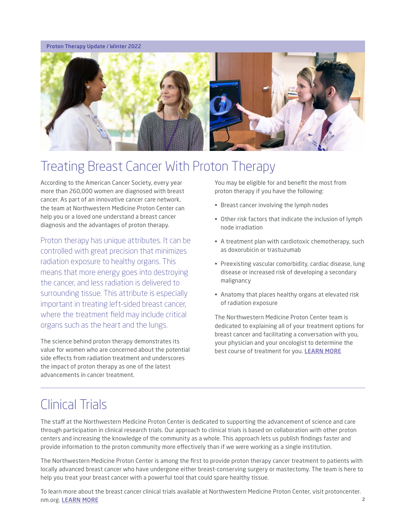#### Proton Therapy Update / Winter 2022



### Treating Breast Cancer With Proton Therapy

According to the American Cancer Society, every year more than 260,000 women are diagnosed with breast cancer. As part of an innovative cancer care network, the team at Northwestern Medicine Proton Center can help you or a loved one understand a breast cancer diagnosis and the advantages of proton therapy.

Proton therapy has unique attributes. It can be controlled with great precision that minimizes radiation exposure to healthy organs. This means that more energy goes into destroying the cancer, and less radiation is delivered to surrounding tissue. This attribute is especially important in treating left-sided breast cancer, where the treatment field may include critical organs such as the heart and the lungs.

The science behind proton therapy demonstrates its value for women who are concerned about the potential side effects from radiation treatment and underscores the impact of proton therapy as one of the latest advancements in cancer treatment.

You may be eligible for and benefit the most from proton therapy if you have the following:

- Breast cancer involving the lymph nodes
- Other risk factors that indicate the inclusion of lymph node irradiation
- A treatment plan with cardiotoxic chemotherapy, such as doxorubicin or trastuzumab
- Preexisting vascular comorbidity, cardiac disease, lung disease or increased risk of developing a secondary malignancy
- Anatomy that places healthy organs at elevated risk of radiation exposure

The Northwestern Medicine Proton Center team is dedicated to explaining all of your treatment options for breast cancer and facilitating a conversation with you, your physician and your oncologist to determine the best course of treatment for you. [LEARN MORE](https://protoncenter.nm.org/cancers-tumors-treated/breast-cancer)

### Clinical Trials

The staff at the Northwestern Medicine Proton Center is dedicated to supporting the advancement of science and care through participation in clinical research trials. Our approach to clinical trials is based on collaboration with other proton centers and increasing the knowledge of the community as a whole. This approach lets us publish findings faster and provide information to the proton community more effectively than if we were working as a single institution.

The Northwestern Medicine Proton Center is among the first to provide proton therapy cancer treatment to patients with locally advanced breast cancer who have undergone either breast-conserving surgery or mastectomy. The team is here to help you treat your breast cancer with a powerful tool that could spare healthy tissue.

2 To learn more about the breast cancer clinical trials available at Northwestern Medicine Proton Center, visit protoncenter. nm.org. [LEARN MORE](https://protoncenter.nm.org/getting-treated/clinical-trials)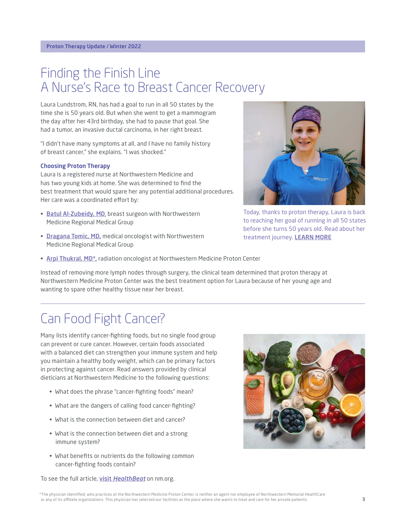## Finding the Finish Line A Nurse's Race to Breast Cancer Recovery

Laura Lundstrom, RN, has had a goal to run in all 50 states by the time she is 50 years old. But when she went to get a mammogram the day after her 43rd birthday, she had to pause that goal. She had a tumor, an invasive ductal carcinoma, in her right breast.

"I didn't have many symptoms at all, and I have no family history of breast cancer," she explains. "I was shocked."

### Choosing Proton Therapy

Laura is a registered nurse at Northwestern Medicine and has two young kids at home. She was determined to find the best treatment that would spare her any potential additional procedures. Her care was a coordinated effort by:

- [Batul Al-Zubeidy, MD](https://www.nm.org/doctors/1568725711/batul-alzubeidy-md), breast surgeon with Northwestern Medicine Regional Medical Group
- [Dragana Tomic, MD,](https://www.nm.org/doctors/1356523898/dragana-tomic-md) medical oncologist with Northwestern Medicine Regional Medical Group



Today, thanks to proton therapy, Laura is back to reaching her goal of running in all 50 states before she turns 50 years old. Read about her treatment journey. **[LEARN MORE](https://www.nm.org/healthbeat/patient-stories/finding-the-finish-line-lundstrom-breast-cancer)** 

• Arpi Thukral, MD<sup>\*</sup>, radiation oncologist at Northwestern Medicine Proton Center

Instead of removing more lymph nodes through surgery, the clinical team determined that proton therapy at Northwestern Medicine Proton Center was the best treatment option for Laura because of her young age and wanting to spare other healthy tissue near her breast.

# Can Food Fight Cancer?

Many lists identify cancer-fighting foods, but no single food group can prevent or cure cancer. However, certain foods associated with a balanced diet can strengthen your immune system and help you maintain a healthy body weight, which can be primary factors in protecting against cancer. Read answers provided by clinical dieticians at Northwestern Medicine to the following questions:

- What does the phrase "cancer-fighting foods" mean?
- What are the dangers of calling food cancer-fighting?
- What is the connection between diet and cancer?
- What is the connection between diet and a strong immune system?
- What benefits or nutrients do the following common cancer-fighting foods contain?

To see the full article, visit *[HealthBeat](https://www.nm.org/healthbeat/healthy-tips/nutrition/cancer-fighting-foods)* on nm.org.